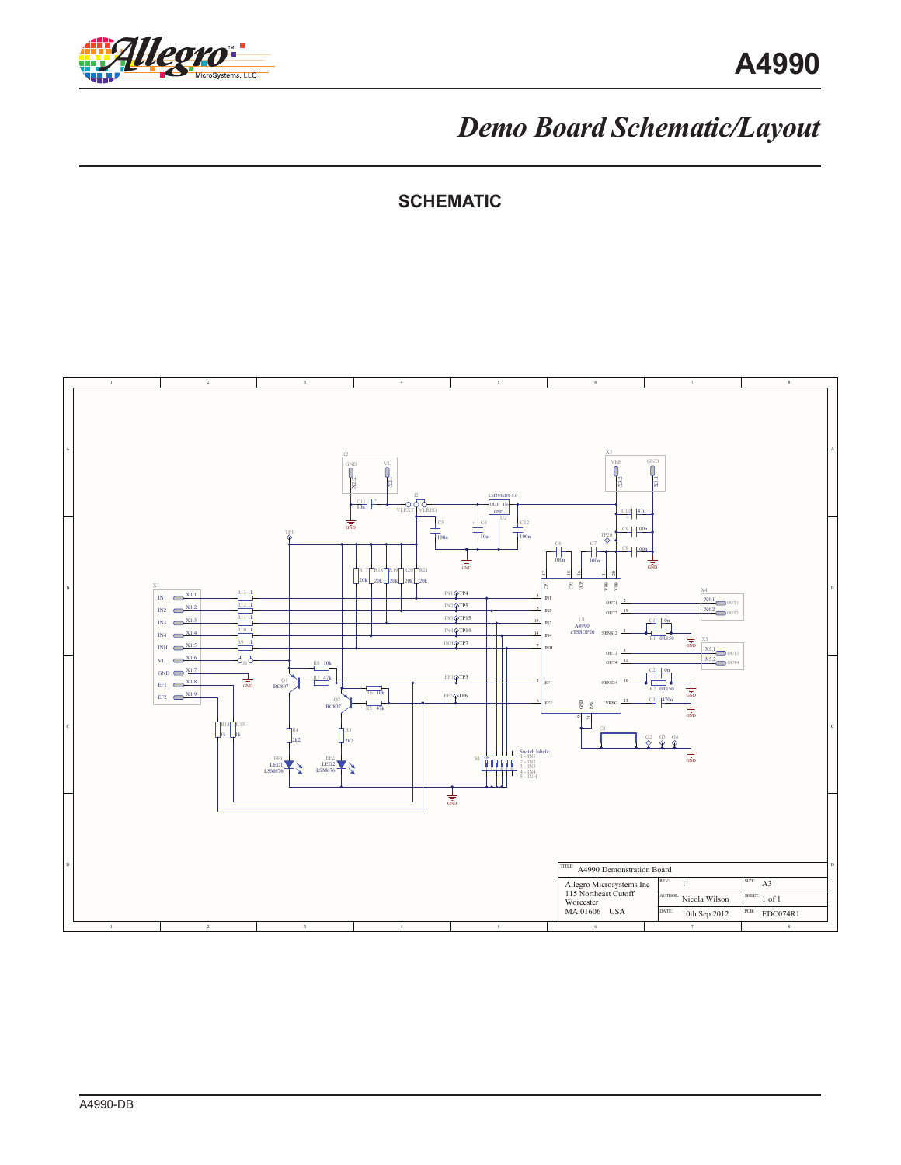

## *Demo Board Schematic/Layout*

**SCHEMATIC**

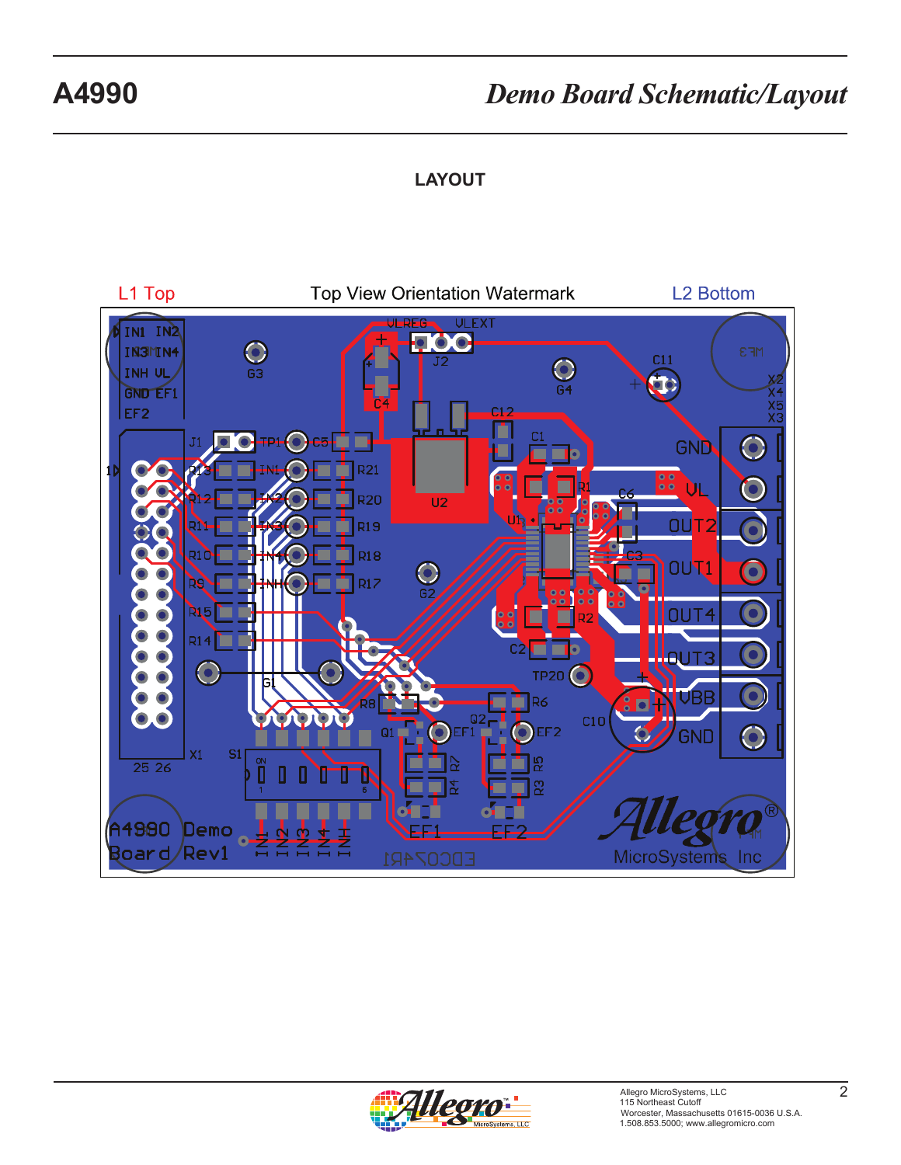## **A4990** *Demo Board Schematic/Layout*

### **LAYOUT**



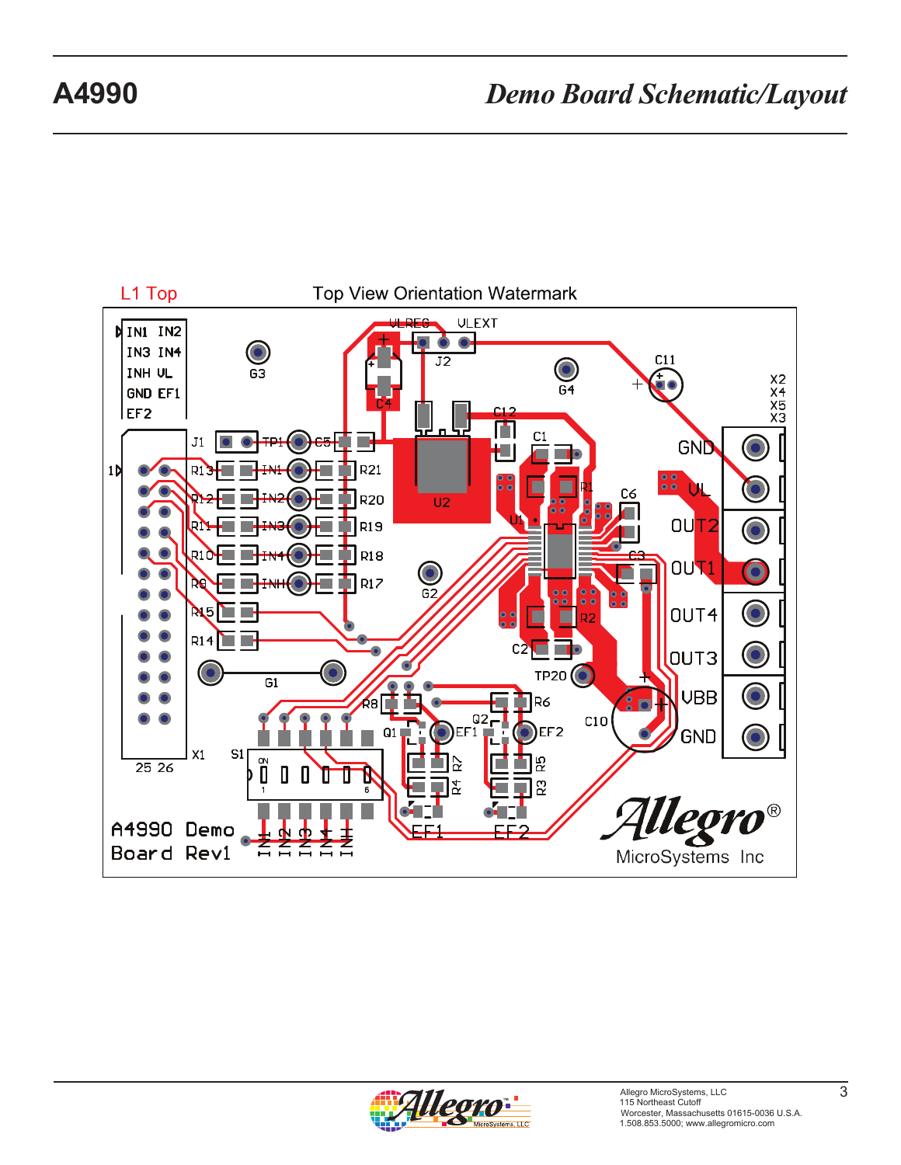## **A4990** *Demo Board Schematic/Layout*



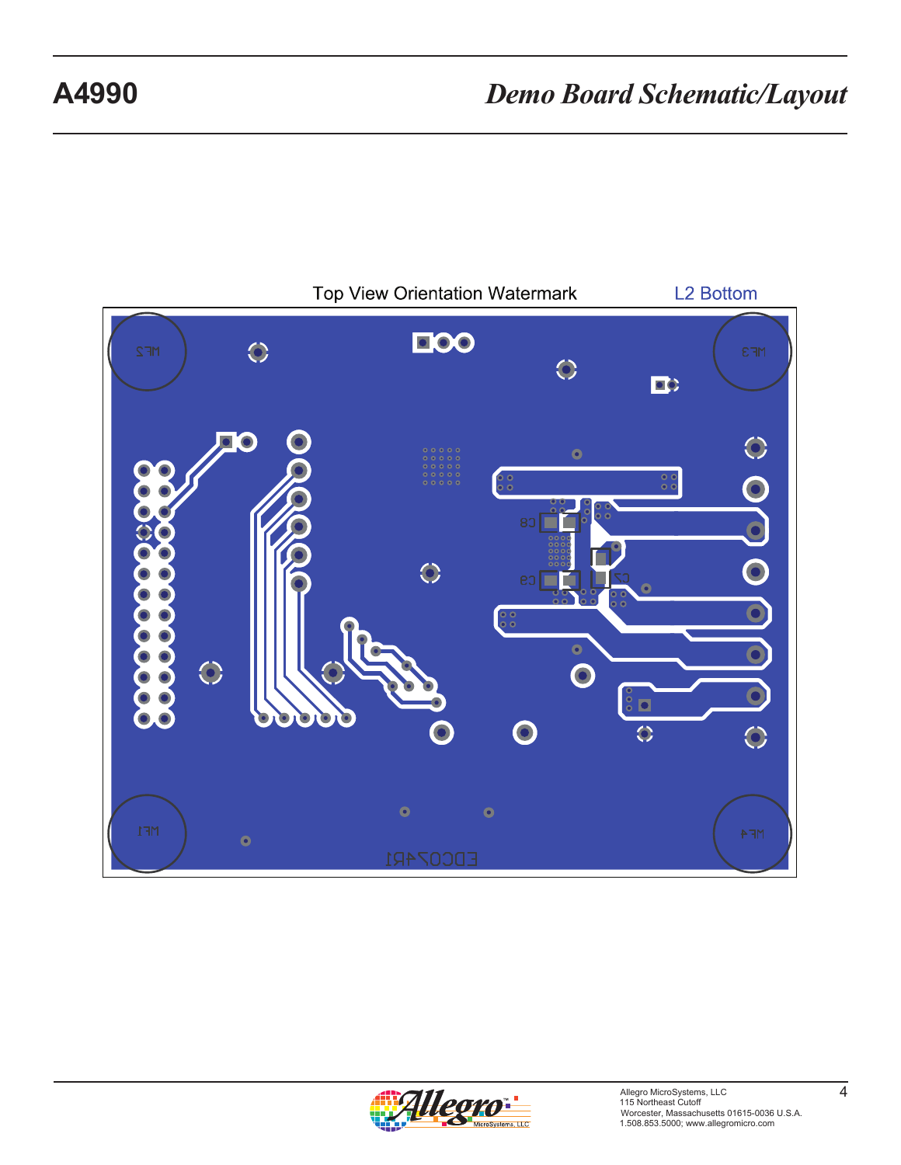

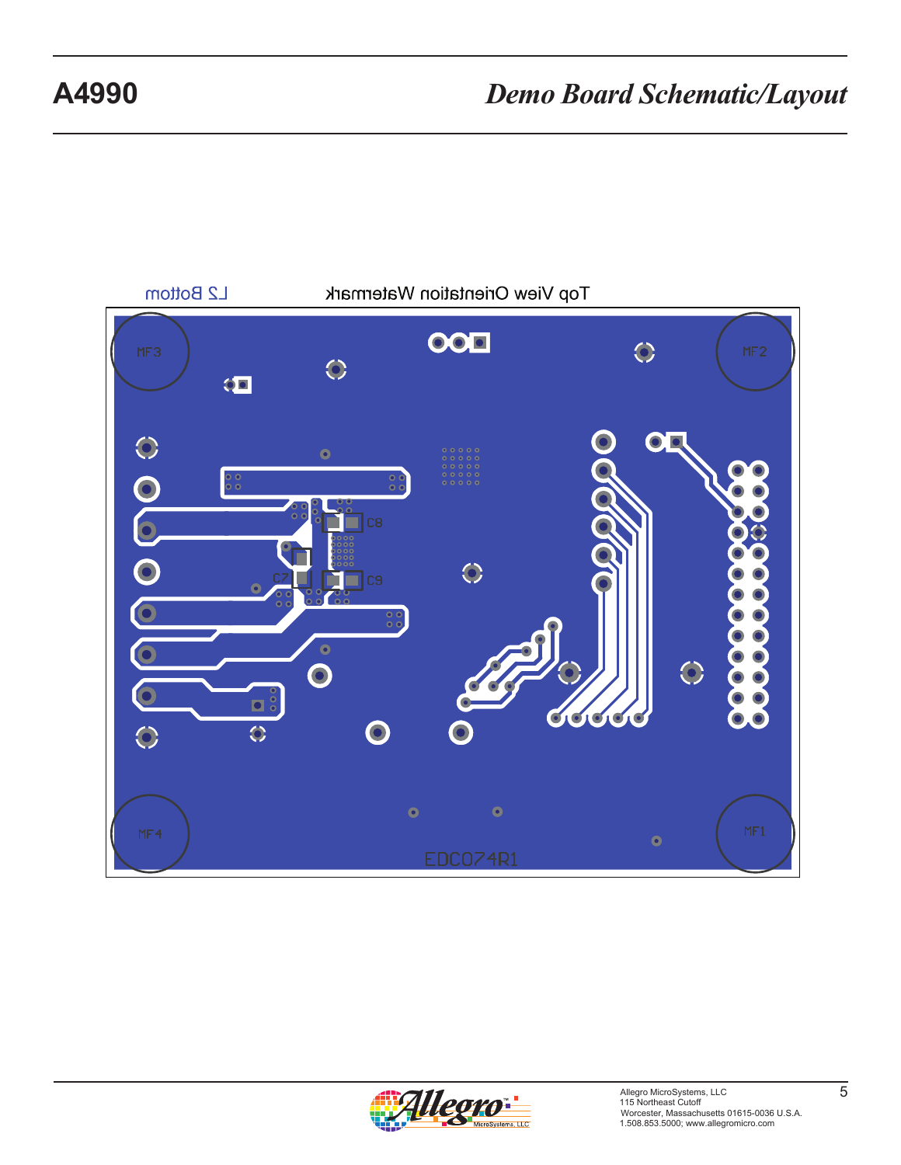

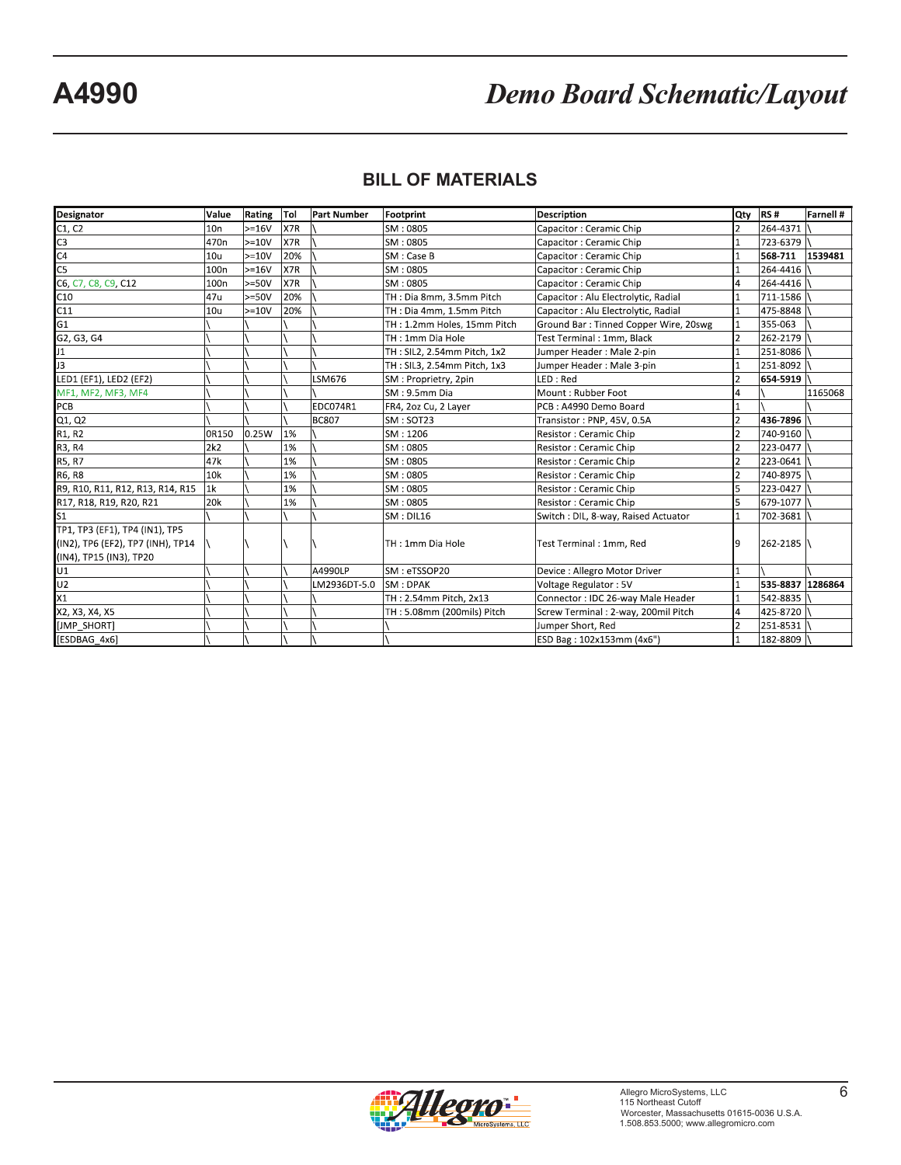# **A4990** *Demo Board Schematic/Layout*

### **BILL OF MATERIALS**

| Designator                        | Value            | Rating Tol |     | <b>Part Number</b> | Footprint                   | <b>Description</b>                    |                | Qty RS#          | <b>Farnell#</b> |
|-----------------------------------|------------------|------------|-----|--------------------|-----------------------------|---------------------------------------|----------------|------------------|-----------------|
| C1, C2                            | 10n              | $>=16V$    | X7R |                    | SM: 0805                    | Capacitor: Ceramic Chip               |                | 264-4371         |                 |
| C <sub>3</sub>                    | 470 <sub>n</sub> | $>=10V$    | X7R |                    | SM: 0805                    | Capacitor: Ceramic Chip               |                | 723-6379         |                 |
| C <sub>4</sub>                    | 10u              | $>=10V$    | 20% |                    | SM : Case B                 | Capacitor: Ceramic Chip               |                | 568-711          | 1539481         |
| C <sub>5</sub>                    | 100 <sub>n</sub> | $>=16V$    | X7R |                    | SM: 0805                    | Capacitor: Ceramic Chip               |                | 264-4416         |                 |
| C6, C7, C8, C9, C12               | 100 <sub>n</sub> | $>=50V$    | X7R |                    | SM: 0805                    | Capacitor: Ceramic Chip               |                | 264-4416         |                 |
| C10                               | 47u              | $>=50V$    | 20% |                    | TH: Dia 8mm, 3.5mm Pitch    | Capacitor : Alu Electrolytic, Radial  |                | 711-1586         |                 |
| C11                               | 10u              | $>=10V$    | 20% |                    | TH: Dia 4mm, 1.5mm Pitch    | Capacitor : Alu Electrolytic, Radial  |                | 475-8848         |                 |
| G <sub>1</sub>                    |                  |            |     |                    | TH: 1.2mm Holes, 15mm Pitch | Ground Bar: Tinned Copper Wire, 20swg |                | 355-063          |                 |
| G2, G3, G4                        |                  |            |     |                    | TH: 1mm Dia Hole            | Test Terminal : 1mm. Black            | 2              | 262-2179         |                 |
| J <sub>1</sub>                    |                  |            |     |                    | TH: SIL2, 2.54mm Pitch, 1x2 | Jumper Header: Male 2-pin             |                | 251-8086         |                 |
| J3                                |                  |            |     |                    | TH: SIL3, 2.54mm Pitch, 1x3 | Jumper Header: Male 3-pin             |                | 251-8092         |                 |
| LED1 (EF1), LED2 (EF2)            |                  |            |     | LSM676             | SM: Proprietry, 2pin        | LED: Red                              |                | 654-5919         |                 |
| MF1, MF2, MF3, MF4                |                  |            |     |                    | SM: 9.5mm Dia               | Mount : Rubber Foot                   | 4              |                  | 1165068         |
| PCB                               |                  |            |     | EDC074R1           | FR4, 2oz Cu, 2 Layer        | PCB: A4990 Demo Board                 |                |                  |                 |
| Q1, Q2                            |                  |            |     | <b>BC807</b>       | SM: SOT23                   | Transistor: PNP, 45V, 0.5A            |                | 436-7896         |                 |
| R1, R2                            | 0R150            | 0.25W      | 1%  |                    | SM: 1206                    | Resistor : Ceramic Chip               |                | 740-9160         |                 |
| R3, R4                            | 2k2              |            | 1%  |                    | SM: 0805                    | Resistor: Ceramic Chip                |                | 223-0477         |                 |
| R5, R7                            | 47k              |            | 1%  |                    | SM: 0805                    | Resistor: Ceramic Chip                |                | 223-0641         |                 |
| R6, R8                            | 10k              |            | 1%  |                    | SM: 0805                    | Resistor : Ceramic Chip               | 2              | 740-8975         |                 |
| R9, R10, R11, R12, R13, R14, R15  | 1 <sub>k</sub>   |            | 1%  |                    | SM: 0805                    | Resistor : Ceramic Chip               |                | 223-0427         |                 |
| R17, R18, R19, R20, R21           | 20k              |            | 1%  |                    | SM: 0805                    | Resistor: Ceramic Chip                | 5              | 679-1077         |                 |
| ls1                               |                  |            |     |                    | SM: DIL16                   | Switch : DIL, 8-way, Raised Actuator  |                | 702-3681         |                 |
| TP1, TP3 (EF1), TP4 (IN1), TP5    |                  |            |     |                    |                             |                                       |                |                  |                 |
| (IN2), TP6 (EF2), TP7 (INH), TP14 |                  |            |     |                    | TH: 1mm Dia Hole            | Test Terminal: 1mm, Red               | 9              | 262-2185         |                 |
| (IN4), TP15 (IN3), TP20           |                  |            |     |                    |                             |                                       |                |                  |                 |
| U1                                |                  |            |     | A4990LP            | SM: eTSSOP20                | Device : Allegro Motor Driver         |                |                  |                 |
| U <sub>2</sub>                    |                  |            |     | LM2936DT-5.0       | SM: DPAK                    | Voltage Regulator: 5V                 |                | 535-8837 1286864 |                 |
| $x_1$                             |                  |            |     |                    | TH: 2.54mm Pitch, 2x13      | Connector: IDC 26-way Male Header     |                | 542-8835         |                 |
| X2, X3, X4, X5                    |                  |            |     |                    | TH: 5.08mm (200mils) Pitch  | Screw Terminal: 2-way, 200mil Pitch   | 4              | 425-8720         |                 |
| [JMP SHORT]                       |                  |            |     |                    |                             | Jumper Short, Red                     | $\overline{2}$ | 251-8531         |                 |
| [ESDBAG 4x6]                      |                  |            |     |                    |                             | ESD Bag: 102x153mm (4x6")             |                | 182-8809         |                 |